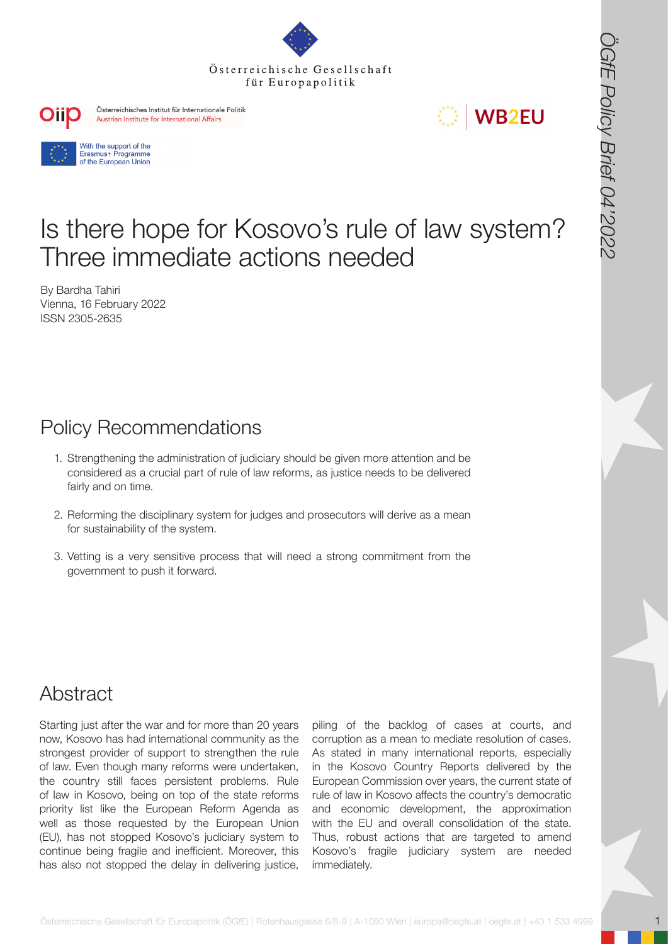



# Is there hope for Kosovo's rule of law system? Three immediate actions needed

By Bardha Tahiri Vienna, 16 February 2022 ISSN 2305-2635

## Policy Recommendations

- 1. Strengthening the administration of judiciary should be given more attention and be considered as a crucial part of rule of law reforms, as justice needs to be delivered fairly and on time.
- 2. Reforming the disciplinary system for judges and prosecutors will derive as a mean for sustainability of the system.
- 3. Vetting is a very sensitive process that will need a strong commitment from the government to push it forward.

### Abstract

**OSTERRESS ARE CONSULTERED ASSESSE FOR A STRANGER FUR EUROPAPOLITE CONSULTERED**<br> **OSTERRESS ARE CONSULTERED**<br> **STRANGER FUR EUROPAPOLITE CONSULTERED ASSESSED PROPRIET CONSULTERED AND ASSESSED PROPRIET CONSULTERED AND CONSU** Starting just after the war and for more than 20 years now, Kosovo has had international community as the strongest provider of support to strengthen the rule of law. Even though many reforms were undertaken, the country still faces persistent problems. Rule of law in Kosovo, being on top of the state reforms priority list like the European Reform Agenda as well as those requested by the European Union (EU), has not stopped Kosovo's judiciary system to continue being fragile and inefficient. Moreover, this has also not stopped the delay in delivering justice,

piling of the backlog of cases at courts, and corruption as a mean to mediate resolution of cases. As stated in many international reports, especially in the Kosovo Country Reports delivered by the European Commission over years, the current state of rule of law in Kosovo affects the country's democratic and economic development, the approximation with the EU and overall consolidation of the state. Thus, robust actions that are targeted to amend Kosovo's fragile judiciary system are needed immediately.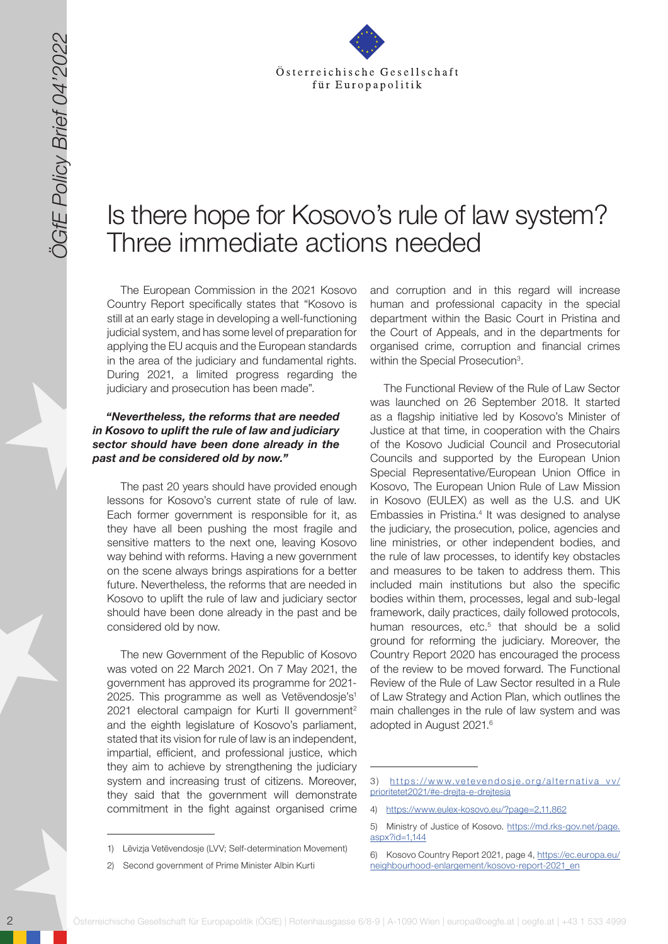

# Is there hope for Kosovo's rule of law system? Three immediate actions needed

The European Commission in the 2021 Kosovo Country Report specifically states that "Kosovo is still at an early stage in developing a well-functioning judicial system, and has some level of preparation for applying the EU acquis and the European standards in the area of the judiciary and fundamental rights. During 2021, a limited progress regarding the judiciary and prosecution has been made".

#### *"Nevertheless, the reforms that are needed in Kosovo to uplift the rule of law and judiciary sector should have been done already in the past and be considered old by now."*

The past 20 years should have provided enough lessons for Kosovo's current state of rule of law. Each former government is responsible for it, as they have all been pushing the most fragile and sensitive matters to the next one, leaving Kosovo way behind with reforms. Having a new government on the scene always brings aspirations for a better future. Nevertheless, the reforms that are needed in Kosovo to uplift the rule of law and judiciary sector should have been done already in the past and be considered old by now.

The new Government of the Republic of Kosovo was voted on 22 March 2021. On 7 May 2021, the government has approved its programme for 2021- 2025. This programme as well as Vetëvendosje's<sup>1</sup> 2021 electoral campaign for Kurti II government<sup>2</sup> and the eighth legislature of Kosovo's parliament, stated that its vision for rule of law is an independent, impartial, efficient, and professional justice, which they aim to achieve by strengthening the judiciary system and increasing trust of citizens. Moreover, they said that the government will demonstrate commitment in the fight against organised crime

and corruption and in this regard will increase human and professional capacity in the special department within the Basic Court in Pristina and the Court of Appeals, and in the departments for organised crime, corruption and financial crimes within the Special Prosecution<sup>3</sup>.

2 Solen Constitute Cesells and Constitute Cesells and Constitute Cesells and Constitute Cesells and Constitute Cesells and Constitute Cesells and Constitute Cesells and Constitute Cesells and Constitute Cesells and Constit The Functional Review of the Rule of Law Sector was launched on 26 September 2018. It started as a flagship initiative led by Kosovo's Minister of Justice at that time, in cooperation with the Chairs of the Kosovo Judicial Council and Prosecutorial Councils and supported by the European Union Special Representative/European Union Office in Kosovo, The European Union Rule of Law Mission in Kosovo (EULEX) as well as the U.S. and UK Embassies in Pristina.<sup>4</sup> It was designed to analyse the judiciary, the prosecution, police, agencies and line ministries, or other independent bodies, and the rule of law processes, to identify key obstacles and measures to be taken to address them. This included main institutions but also the specific bodies within them, processes, legal and sub-legal framework, daily practices, daily followed protocols, human resources, etc.<sup>5</sup> that should be a solid ground for reforming the judiciary. Moreover, the Country Report 2020 has encouraged the process of the review to be moved forward. The Functional Review of the Rule of Law Sector resulted in a Rule of Law Strategy and Action Plan, which outlines the main challenges in the rule of law system and was adopted in August 2021.6

<sup>1)</sup> Lëvizja Vetëvendosje (LVV; Self-determination Movement)

<sup>2)</sup> Second government of Prime Minister Albin Kurti

<sup>3)</sup> [https://www.vetevendosje.org/alternativa\\_vv/](https://www.vetevendosje.org/alternativa_vv/prioritetet2021/#e-drejta-e-drejtesia) [prioritetet2021/#e-drejta-e-drejtesia](https://www.vetevendosje.org/alternativa_vv/prioritetet2021/#e-drejta-e-drejtesia)

<sup>4)</sup> <https://www.eulex-kosovo.eu/?page=2,11,862>

<sup>5)</sup> Ministry of Justice of Kosovo. [https://md.rks-gov.net/page.](https://md.rks-gov.net/page.aspx?id=1,144) [aspx?id=1,144](https://md.rks-gov.net/page.aspx?id=1,144)

Kosovo Country Report 2021, page 4, [https://ec.europa.eu/](https://ec.europa.eu/neighbourhood-enlargement/kosovo-report-2021_en) [neighbourhood-enlargement/kosovo-report-2021\\_en](https://ec.europa.eu/neighbourhood-enlargement/kosovo-report-2021_en)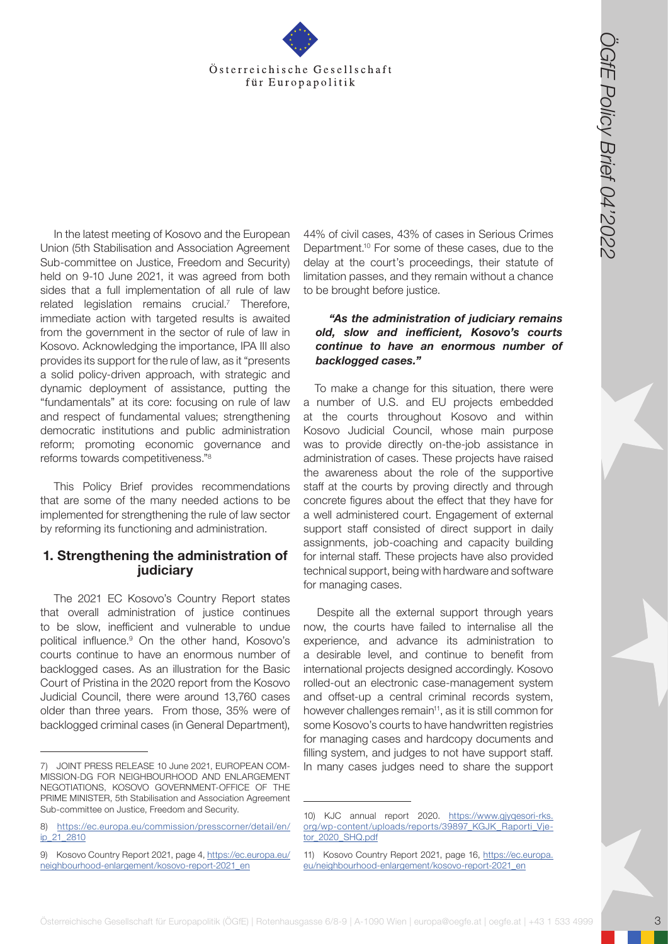

Österreichische Gesellschaft für Europapolitik (EGfesterreichische Gesellschaft)<br>
The strong of the strong of the strong of the strong of the strong of the strong of the strong of the strong of the strong of the strong o In the latest meeting of Kosovo and the European Union (5th Stabilisation and Association Agreement Sub-committee on Justice, Freedom and Security) held on 9-10 June 2021, it was agreed from both sides that a full implementation of all rule of law related legislation remains crucial.<sup>7</sup> Therefore, immediate action with targeted results is awaited from the government in the sector of rule of law in Kosovo. Acknowledging the importance, IPA III also provides its support for the rule of law, as it "presents a solid policy-driven approach, with strategic and dynamic deployment of assistance, putting the "fundamentals" at its core: focusing on rule of law and respect of fundamental values; strengthening democratic institutions and public administration reform; promoting economic governance and reforms towards competitiveness."8

This Policy Brief provides recommendations that are some of the many needed actions to be implemented for strengthening the rule of law sector by reforming its functioning and administration.

#### **1. Strengthening the administration of judiciary**

The 2021 EC Kosovo's Country Report states that overall administration of justice continues to be slow, inefficient and vulnerable to undue political influence.<sup>9</sup> On the other hand, Kosovo's courts continue to have an enormous number of backlogged cases. As an illustration for the Basic Court of Pristina in the 2020 report from the Kosovo Judicial Council, there were around 13,760 cases older than three years. From those, 35% were of backlogged criminal cases (in General Department),

44% of civil cases, 43% of cases in Serious Crimes Department.10 For some of these cases, due to the delay at the court's proceedings, their statute of limitation passes, and they remain without a chance to be brought before justice.

#### *"As the administration of judiciary remains old, slow and inefficient, Kosovo's courts continue to have an enormous number of backlogged cases."*

To make a change for this situation, there were a number of U.S. and EU projects embedded at the courts throughout Kosovo and within Kosovo Judicial Council, whose main purpose was to provide directly on-the-job assistance in administration of cases. These projects have raised the awareness about the role of the supportive staff at the courts by proving directly and through concrete figures about the effect that they have for a well administered court. Engagement of external support staff consisted of direct support in daily assignments, job-coaching and capacity building for internal staff. These projects have also provided technical support, being with hardware and software for managing cases.

Despite all the external support through years now, the courts have failed to internalise all the experience, and advance its administration to a desirable level, and continue to benefit from international projects designed accordingly. Kosovo rolled-out an electronic case-management system and offset-up a central criminal records system, however challenges remain<sup>11</sup>, as it is still common for some Kosovo's courts to have handwritten registries for managing cases and hardcopy documents and filling system, and judges to not have support staff. In many cases judges need to share the support

<sup>7)</sup> JOINT PRESS RELEASE 10 June 2021, EUROPEAN COM-MISSION-DG FOR NEIGHBOURHOOD AND ENLARGEMENT NEGOTIATIONS, KOSOVO GOVERNMENT-OFFICE OF THE PRIME MINISTER, 5th Stabilisation and Association Agreement Sub-committee on Justice, Freedom and Security.

<sup>8)</sup> [https://ec.europa.eu/commission/presscorner/detail/en/](https://ec.europa.eu/commission/presscorner/detail/en/ip_21_2810) [ip\\_21\\_2810](https://ec.europa.eu/commission/presscorner/detail/en/ip_21_2810)

<sup>9)</sup> Kosovo Country Report 2021, page 4, [https://ec.europa.eu/](https://ec.europa.eu/neighbourhood-enlargement/kosovo-report-2021_en) [neighbourhood-enlargement/kosovo-report-2021\\_en](https://ec.europa.eu/neighbourhood-enlargement/kosovo-report-2021_en)

<sup>10)</sup> KJC annual report 2020. [https://www.gjyqesori-rks.](https://www.gjyqesori-rks.org/wp-content/uploads/reports/39897_KGJK_Raporti_Vjetor_2020_SHQ.pdf) [org/wp-content/uploads/reports/39897\\_KGJK\\_Raporti\\_Vje](https://www.gjyqesori-rks.org/wp-content/uploads/reports/39897_KGJK_Raporti_Vjetor_2020_SHQ.pdf)[tor\\_2020\\_SHQ.pdf](https://www.gjyqesori-rks.org/wp-content/uploads/reports/39897_KGJK_Raporti_Vjetor_2020_SHQ.pdf)

<sup>11)</sup> Kosovo Country Report 2021, page 16, [https://ec.europa.](https://ec.europa.eu/neighbourhood-enlargement/kosovo-report-2021_en) [eu/neighbourhood-enlargement/kosovo-report-2021\\_en](https://ec.europa.eu/neighbourhood-enlargement/kosovo-report-2021_en)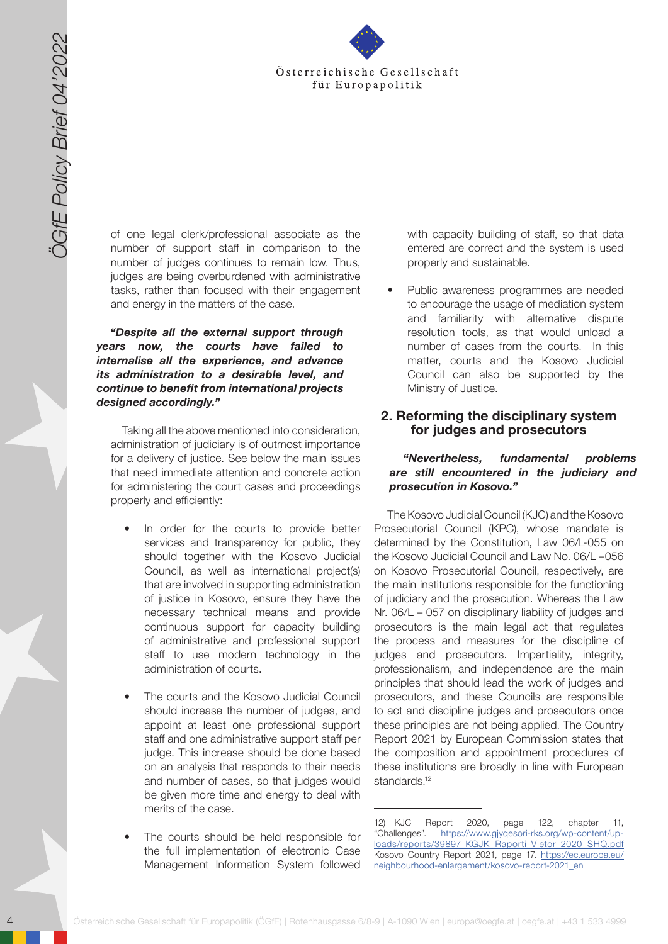

of one legal clerk/professional associate as the number of support staff in comparison to the number of judges continues to remain low. Thus, judges are being overburdened with administrative tasks, rather than focused with their engagement and energy in the matters of the case.

*"Despite all the external support through years now, the courts have failed to internalise all the experience, and advance its administration to a desirable level, and continue to benefit from international projects designed accordingly."*

Taking all the above mentioned into consideration, administration of judiciary is of outmost importance for a delivery of justice. See below the main issues that need immediate attention and concrete action for administering the court cases and proceedings properly and efficiently:

- In order for the courts to provide better services and transparency for public, they should together with the Kosovo Judicial Council, as well as international project(s) that are involved in supporting administration of justice in Kosovo, ensure they have the necessary technical means and provide continuous support for capacity building of administrative and professional support staff to use modern technology in the administration of courts.
- The courts and the Kosovo Judicial Council should increase the number of judges, and appoint at least one professional support staff and one administrative support staff per judge. This increase should be done based on an analysis that responds to their needs and number of cases, so that judges would be given more time and energy to deal with merits of the case.
- The courts should be held responsible for the full implementation of electronic Case Management Information System followed

with capacity building of staff, so that data entered are correct and the system is used properly and sustainable.

• Public awareness programmes are needed to encourage the usage of mediation system and familiarity with alternative dispute resolution tools, as that would unload a number of cases from the courts. In this matter, courts and the Kosovo Judicial Council can also be supported by the Ministry of Justice.

#### **2. Reforming the disciplinary system for judges and prosecutors**

#### *"Nevertheless, fundamental problems are still encountered in the judiciary and prosecution in Kosovo."*

4 Gesellschaft für Europapolitik für Europapolitik (ÖGfE) in den statische Gesellschaft für Europapolitik (ÖGfE) in den statische Gesellschaft für Europapolitik (ÖGfE) in den statische Gesellschaft für Europapolitik (ÖGf The Kosovo Judicial Council (KJC) and the Kosovo Prosecutorial Council (KPC), whose mandate is determined by the Constitution, Law 06/L-055 on the Kosovo Judicial Council and Law No. 06/L –056 on Kosovo Prosecutorial Council, respectively, are the main institutions responsible for the functioning of judiciary and the prosecution. Whereas the Law Nr. 06/L – 057 on disciplinary liability of judges and prosecutors is the main legal act that regulates the process and measures for the discipline of judges and prosecutors. Impartiality, integrity, professionalism, and independence are the main principles that should lead the work of judges and prosecutors, and these Councils are responsible to act and discipline judges and prosecutors once these principles are not being applied. The Country Report 2021 by European Commission states that the composition and appointment procedures of these institutions are broadly in line with European standards.<sup>12</sup>

<sup>12)</sup> KJC Report 2020, page 122, chapter 11, "Challenges". [https://www.gjyqesori-rks.org/wp-content/up](https://www.gjyqesori-rks.org/wp-content/uploads/reports/39897_KGJK_Raporti_Vjetor_2020_SHQ.pdf)[loads/reports/39897\\_KGJK\\_Raporti\\_Vjetor\\_2020\\_SHQ.pdf](https://www.gjyqesori-rks.org/wp-content/uploads/reports/39897_KGJK_Raporti_Vjetor_2020_SHQ.pdf) Kosovo Country Report 2021, page 17. [https://ec.europa.eu/](https://ec.europa.eu/neighbourhood-enlargement/kosovo-report-2021_en) [neighbourhood-enlargement/kosovo-report-2021\\_en](https://ec.europa.eu/neighbourhood-enlargement/kosovo-report-2021_en)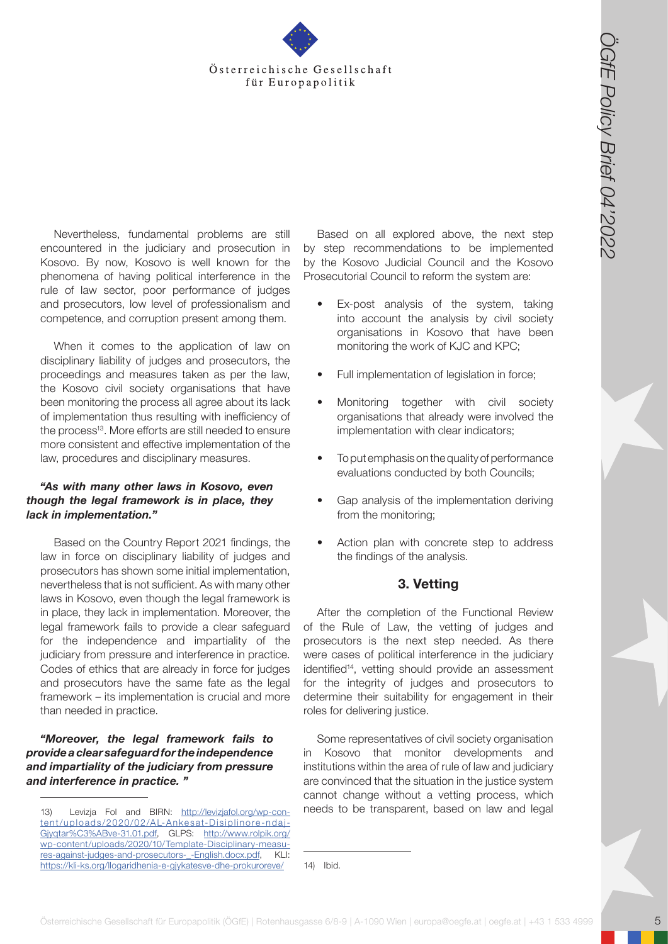

Nevertheless, fundamental problems are still encountered in the judiciary and prosecution in Kosovo. By now, Kosovo is well known for the phenomena of having political interference in the rule of law sector, poor performance of judges and prosecutors, low level of professionalism and competence, and corruption present among them.

When it comes to the application of law on disciplinary liability of judges and prosecutors, the proceedings and measures taken as per the law, the Kosovo civil society organisations that have been monitoring the process all agree about its lack of implementation thus resulting with inefficiency of the process<sup>13</sup>. More efforts are still needed to ensure more consistent and effective implementation of the law, procedures and disciplinary measures.

#### *"As with many other laws in Kosovo, even though the legal framework is in place, they lack in implementation."*

**Osterreichische Gesellschaft für Europapolitik (Controller)** in Europapolitik (Controller) in the state and the state and the state and the state of the state of the state of the state of the state of the state of the st Based on the Country Report 2021 findings, the law in force on disciplinary liability of judges and prosecutors has shown some initial implementation, nevertheless that is not sufficient. As with many other laws in Kosovo, even though the legal framework is in place, they lack in implementation. Moreover, the legal framework fails to provide a clear safeguard for the independence and impartiality of the judiciary from pressure and interference in practice. Codes of ethics that are already in force for judges and prosecutors have the same fate as the legal framework – its implementation is crucial and more than needed in practice.

#### *"Moreover, the legal framework fails to provide a clear safeguard for the independence and impartiality of the judiciary from pressure and interference in practice. "*

Based on all explored above, the next step by step recommendations to be implemented by the Kosovo Judicial Council and the Kosovo Prosecutorial Council to reform the system are:

- Ex-post analysis of the system, taking into account the analysis by civil society organisations in Kosovo that have been monitoring the work of KJC and KPC;
- Full implementation of legislation in force;
- Monitoring together with civil society organisations that already were involved the implementation with clear indicators;
- To put emphasis on the quality of performance evaluations conducted by both Councils;
- Gap analysis of the implementation deriving from the monitoring;
- Action plan with concrete step to address the findings of the analysis.

### **3. Vetting**

After the completion of the Functional Review of the Rule of Law, the vetting of judges and prosecutors is the next step needed. As there were cases of political interference in the judiciary identified<sup>14</sup>, vetting should provide an assessment for the integrity of judges and prosecutors to determine their suitability for engagement in their roles for delivering justice.

Some representatives of civil society organisation in Kosovo that monitor developments and institutions within the area of rule of law and judiciary are convinced that the situation in the justice system cannot change without a vetting process, which needs to be transparent, based on law and legal

14) Ibid.

<sup>13)</sup> Levizja Fol and BIRN: [http://levizjafol.org/wp-con](http://levizjafol.org/wp-content/uploads/2020/02/AL-Ankesat-Disiplinore-ndaj-Gjyqtar%C3%ABve-31.01.pdf)[tent /uploads/2020/02/AL-Ankesat-Disiplinore-ndaj-](http://levizjafol.org/wp-content/uploads/2020/02/AL-Ankesat-Disiplinore-ndaj-Gjyqtar%C3%ABve-31.01.pdf)[Gjyqtar%C3%ABve-31.01.pdf,](http://levizjafol.org/wp-content/uploads/2020/02/AL-Ankesat-Disiplinore-ndaj-Gjyqtar%C3%ABve-31.01.pdf) GLPS: [http://www.rolpik.org/](http://www.rolpik.org/wp-content/uploads/2020/10/Template-Disciplinary-measures-against-judges-and-p) [wp-content/uploads/2020/10/Template-Disciplinary-measu](http://www.rolpik.org/wp-content/uploads/2020/10/Template-Disciplinary-measures-against-judges-and-p)[res-against-judges-and-prosecutors-\\_-English.docx.pdf,](http://www.rolpik.org/wp-content/uploads/2020/10/Template-Disciplinary-measures-against-judges-and-p) KLI: <https://kli-ks.org/llogaridhenia-e-gjykatesve-dhe-prokuroreve/>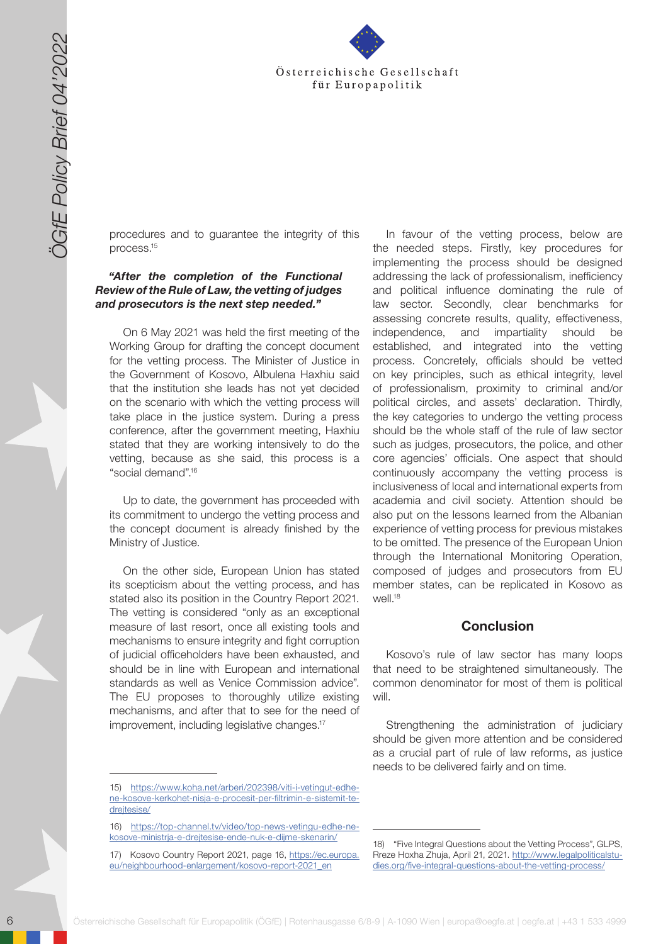

procedures and to guarantee the integrity of this process.15

#### *"After the completion of the Functional Review of the Rule of Law, the vetting of judges and prosecutors is the next step needed."*

On 6 May 2021 was held the first meeting of the Working Group for drafting the concept document for the vetting process. The Minister of Justice in the Government of Kosovo, Albulena Haxhiu said that the institution she leads has not yet decided on the scenario with which the vetting process will take place in the justice system. During a press conference, after the government meeting, Haxhiu stated that they are working intensively to do the vetting, because as she said, this process is a "social demand".<sup>16</sup>

Up to date, the government has proceeded with its commitment to undergo the vetting process and the concept document is already finished by the Ministry of Justice.

On the other side, European Union has stated its scepticism about the vetting process, and has stated also its position in the Country Report 2021. The vetting is considered "only as an exceptional measure of last resort, once all existing tools and mechanisms to ensure integrity and fight corruption of judicial officeholders have been exhausted, and should be in line with European and international standards as well as Venice Commission advice". The EU proposes to thoroughly utilize existing mechanisms, and after that to see for the need of improvement, including legislative changes.<sup>17</sup>

6 Solution and the material control in the control in the set of the set of the set of the set of the set of the set of the set of the set of the set of the set of the set of the set of the set of the set of the set of the In favour of the vetting process, below are the needed steps. Firstly, key procedures for implementing the process should be designed addressing the lack of professionalism, inefficiency and political influence dominating the rule of law sector. Secondly, clear benchmarks for assessing concrete results, quality, effectiveness, independence, and impartiality should be established, and integrated into the vetting process. Concretely, officials should be vetted on key principles, such as ethical integrity, level of professionalism, proximity to criminal and/or political circles, and assets' declaration. Thirdly, the key categories to undergo the vetting process should be the whole staff of the rule of law sector such as judges, prosecutors, the police, and other core agencies' officials. One aspect that should continuously accompany the vetting process is inclusiveness of local and international experts from academia and civil society. Attention should be also put on the lessons learned from the Albanian experience of vetting process for previous mistakes to be omitted. The presence of the European Union through the International Monitoring Operation, composed of judges and prosecutors from EU member states, can be replicated in Kosovo as well<sup>18</sup>

### **Conclusion**

Kosovo's rule of law sector has many loops that need to be straightened simultaneously. The common denominator for most of them is political will.

Strengthening the administration of judiciary should be given more attention and be considered as a crucial part of rule of law reforms, as justice needs to be delivered fairly and on time.

<sup>15)</sup> [https://www.koha.net/arberi/202398/viti-i-vetingut-edhe](https://www.koha.net/arberi/202398/viti-i-vetingut-edhe-ne-kosove-kerkohet-nisja-e-procesit-per-filt)[ne-kosove-kerkohet-nisja-e-procesit-per-filtrimin-e-sistemit-te](https://www.koha.net/arberi/202398/viti-i-vetingut-edhe-ne-kosove-kerkohet-nisja-e-procesit-per-filt)[drejtesise/](https://www.koha.net/arberi/202398/viti-i-vetingut-edhe-ne-kosove-kerkohet-nisja-e-procesit-per-filt)

<sup>16)</sup> [https://top-channel.tv/video/top-news-vetingu-edhe-ne](https://top-channel.tv/video/top-news-vetingu-edhe-ne-kosove-ministrja-e-drejtesise-ende-nuk-e-dijme)[kosove-ministrja-e-drejtesise-ende-nuk-e-dijme-skenarin/](https://top-channel.tv/video/top-news-vetingu-edhe-ne-kosove-ministrja-e-drejtesise-ende-nuk-e-dijme)

<sup>17)</sup> Kosovo Country Report 2021, page 16, [https://ec.europa.](https://ec.europa.eu/neighbourhood-enlargement/kosovo-report-2021_en) [eu/neighbourhood-enlargement/kosovo-report-2021\\_en](https://ec.europa.eu/neighbourhood-enlargement/kosovo-report-2021_en)

<sup>18)</sup> "Five Integral Questions about the Vetting Process", GLPS, Rreze Hoxha Zhuja, April 21, 2021. [http://www.legalpoliticalstu](http://www.legalpoliticalstudies.org/five-integral-questions-about-the-vetting-process/)[dies.org/five-integral-questions-about-the-vetting-process/](http://www.legalpoliticalstudies.org/five-integral-questions-about-the-vetting-process/)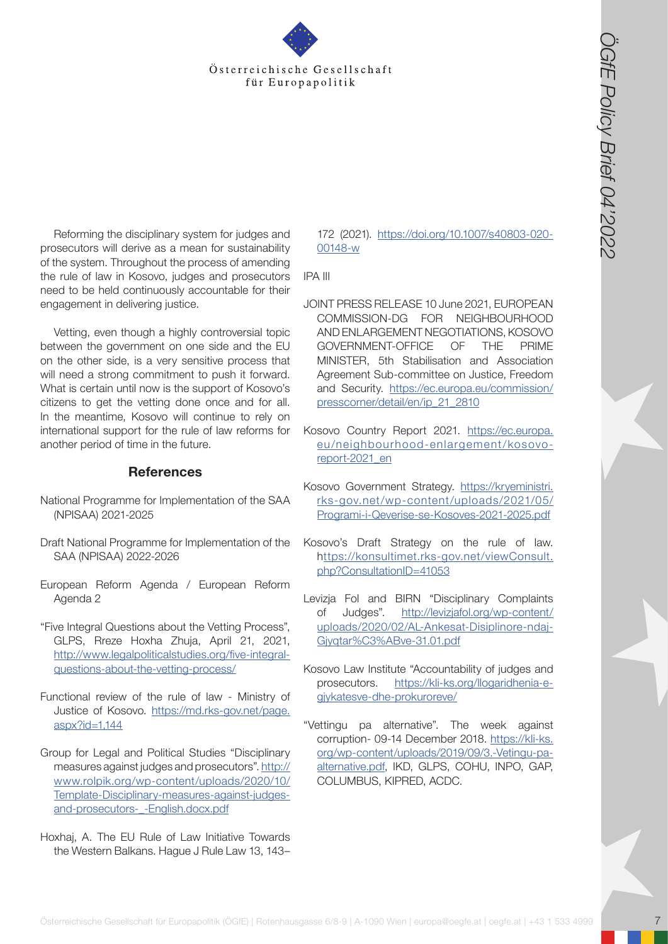

Reforming the disciplinary system for judges and prosecutors will derive as a mean for sustainability of the system. Throughout the process of amending the rule of law in Kosovo, judges and prosecutors need to be held continuously accountable for their engagement in delivering justice.

**Contexts in the Gesellschaft for Europapolitis (Contexts)**  $\frac{1}{2}$ <br> **Exterreigned descriptions and the Gesellschaft for Europa Contexts 6/8-9 | A-1090 Wien and the Gesellschaft films of the Gesellschaft films (CGfE) an** Vetting, even though a highly controversial topic between the government on one side and the EU on the other side, is a very sensitive process that will need a strong commitment to push it forward. What is certain until now is the support of Kosovo's citizens to get the vetting done once and for all. In the meantime, Kosovo will continue to rely on international support for the rule of law reforms for another period of time in the future.

#### **References**

- National Programme for Implementation of the SAA (NPISAA) 2021-2025
- Draft National Programme for Implementation of the SAA (NPISAA) 2022-2026
- European Reform Agenda / European Reform Agenda 2
- "Five Integral Questions about the Vetting Process", GLPS, Rreze Hoxha Zhuja, April 21, 2021, [http://www.legalpoliticalstudies.org/five-integral](http://www.legalpoliticalstudies.org/five-integral-questions-about-the-vetting-process/ )[questions-about-the-vetting-process/](http://www.legalpoliticalstudies.org/five-integral-questions-about-the-vetting-process/ )
- Functional review of the rule of law Ministry of Justice of Kosovo. [https://md.rks-gov.net/page.](https://md.rks-gov.net/page.aspx?id=1,144) [aspx?id=1,144](https://md.rks-gov.net/page.aspx?id=1,144)
- Group for Legal and Political Studies "Disciplinary measures against judges and prosecutors". [http://](http://www.rolpik.org/wp-content/uploads/2020/10/Template-Disciplinary-measures-against-judges-and-prosecutors-_-English.docx.pdf) [www.rolpik.org/wp-content/uploads/2020/10/](http://www.rolpik.org/wp-content/uploads/2020/10/Template-Disciplinary-measures-against-judges-and-prosecutors-_-English.docx.pdf) [Template-Disciplinary-measures-against-judges](http://www.rolpik.org/wp-content/uploads/2020/10/Template-Disciplinary-measures-against-judges-and-prosecutors-_-English.docx.pdf)[and-prosecutors-\\_-English.docx.pdf](http://www.rolpik.org/wp-content/uploads/2020/10/Template-Disciplinary-measures-against-judges-and-prosecutors-_-English.docx.pdf)
- Hoxhaj, A. The EU Rule of Law Initiative Towards the Western Balkans. Hague J Rule Law 13, 143–

172 (2021). [https://doi.org/10.1007/s40803-020-](https://doi.org/10.1007/s40803-020-00148-w ) [00148-w](https://doi.org/10.1007/s40803-020-00148-w )

IPA III

- JOINT PRESS RELEASE 10 June 2021, EUROPEAN COMMISSION-DG FOR NEIGHBOURHOOD AND ENLARGEMENT NEGOTIATIONS, KOSOVO GOVERNMENT-OFFICE OF THE PRIME MINISTER, 5th Stabilisation and Association Agreement Sub-committee on Justice, Freedom and Security. [https://ec.europa.eu/commission/](https://ec.europa.eu/commission/presscorner/detail/en/ip_21_2810) [presscorner/detail/en/ip\\_21\\_2810](https://ec.europa.eu/commission/presscorner/detail/en/ip_21_2810)
- Kosovo Country Report 2021. [https://ec.europa.](https://ec.europa.eu/neighbourhood-enlargement/kosovo-report-2021_en) [eu/neighbourhood-enlargement/kosovo](https://ec.europa.eu/neighbourhood-enlargement/kosovo-report-2021_en)[report-2021\\_en](https://ec.europa.eu/neighbourhood-enlargement/kosovo-report-2021_en)
- Kosovo Government Strategy. [https://kryeministri.](https://kryeministri.rks-gov.net/wp-content/uploads/2021/05/Programi-i-Qeverise-se-Kosoves-2021-2025.pdf) [rks-gov.net/wp-content/uploads/2021/05/](https://kryeministri.rks-gov.net/wp-content/uploads/2021/05/Programi-i-Qeverise-se-Kosoves-2021-2025.pdf) [Programi-i-Qeverise-se-Kosoves-2021-2025.pdf](https://kryeministri.rks-gov.net/wp-content/uploads/2021/05/Programi-i-Qeverise-se-Kosoves-2021-2025.pdf)
- Kosovo's Draft Strategy on the rule of law. h[ttps://konsultimet.rks-gov.net/viewConsult.](https://konsultimet.rks-gov.net/viewConsult.php?ConsultationID=41053) [php?ConsultationID=41053](https://konsultimet.rks-gov.net/viewConsult.php?ConsultationID=41053)
- Levizja Fol and BIRN "Disciplinary Complaints of Judges". [http://levizjafol.org/wp-content/](http://levizjafol.org/wp-content/uploads/2020/02/AL-Ankesat-Disiplinore-ndaj-Gjyqtar%C3%ABve-31.01.pdf) [uploads/2020/02/AL-Ankesat-Disiplinore-ndaj-](http://levizjafol.org/wp-content/uploads/2020/02/AL-Ankesat-Disiplinore-ndaj-Gjyqtar%C3%ABve-31.01.pdf)[Gjyqtar%C3%ABve-31.01.pdf](http://levizjafol.org/wp-content/uploads/2020/02/AL-Ankesat-Disiplinore-ndaj-Gjyqtar%C3%ABve-31.01.pdf)
- Kosovo Law Institute "Accountability of judges and prosecutors. [https://kli-ks.org/llogaridhenia-e](https://kli-ks.org/llogaridhenia-e-gjykatesve-dhe-prokuroreve/ )[gjykatesve-dhe-prokuroreve/](https://kli-ks.org/llogaridhenia-e-gjykatesve-dhe-prokuroreve/ )
- "Vettingu pa alternative". The week against corruption- 09-14 December 2018. [https://kli-ks.](https://kli-ks.org/wp-content/uploads/2019/09/3.-Vetingu-pa-alternative.pdf) [org/wp-content/uploads/2019/09/3.-Vetingu-pa](https://kli-ks.org/wp-content/uploads/2019/09/3.-Vetingu-pa-alternative.pdf)[alternative.pdf](https://kli-ks.org/wp-content/uploads/2019/09/3.-Vetingu-pa-alternative.pdf), IKD, GLPS, COHU, INPO, GAP, COLUMBUS, KIPRED, ACDC.